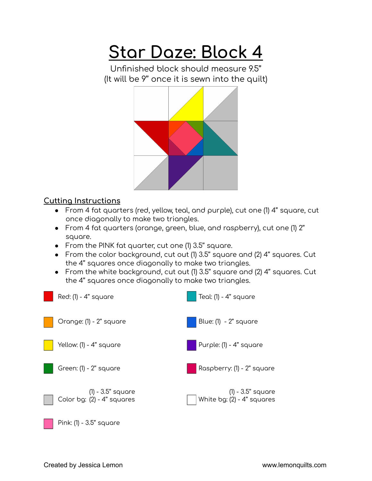## **Star Daze: Block 4**

Unfinished block should measure 9.5'' (It will be 9'' once it is sewn into the quilt)



## **Cutting Instructions**

- From 4 fat quarters (red, yellow, teal, and purple), cut one (1) 4'' square, cut once diagonally to make two triangles.
- From 4 fat quarters (orange, green, blue, and raspberry), cut one (1) 2'' square.
- From the PINK fat quarter, cut one (1) 3.5'' square.
- From the color background, cut out (1) 3.5'' square and (2) 4'' squares. Cut the 4'' squares once diagonally to make two triangles.
- From the white background, cut out (1) 3.5'' square and (2) 4'' squares. Cut the 4'' squares once diagonally to make two triangles.

| Red: (1) - 4" square                            | Teal: (1) - 4" square                               |
|-------------------------------------------------|-----------------------------------------------------|
| Orange: (1) - 2" square                         | Blue: (1) - 2" square                               |
| Yellow: (1) - 4" square                         | Purple: (1) - 4" square                             |
| Green: (1) - 2" square                          | Raspberry: (1) - 2" square                          |
| (1) - 3.5" square<br>Color bg: (2) - 4" squares | (1) - 3.5" square<br>  White bg: $(2)$ - 4" squares |

Pink: (1) - 3.5'' square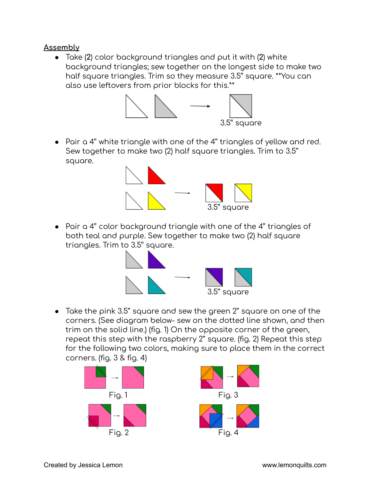## **Assembly**

● Take (**2**) color background triangles and put it with (**2**) white background triangles; sew together on the longest side to make two half square triangles. Trim so they measure 3.5'' square. \*\*You can also use leftovers from prior blocks for this.\*\*



● Pair a 4'' white triangle with one of the 4'' triangles of yellow and red. Sew together to make two (2) half square triangles. Trim to 3.5'' square.



● Pair a 4'' color background triangle with one of the 4'' triangles of both teal and purple. Sew together to make two (2) half square triangles. Trim to 3.5'' square.



● Take the pink 3.5'' square and sew the green 2'' square on one of the corners. (See diagram below- sew on the dotted line shown, and then trim on the solid line.) (fig. 1) On the opposite corner of the green, repeat this step with the raspberry 2'' square. (fig. 2) Repeat this step for the following two colors, making sure to place them in the correct corners. (fig. 3 & fig. 4)